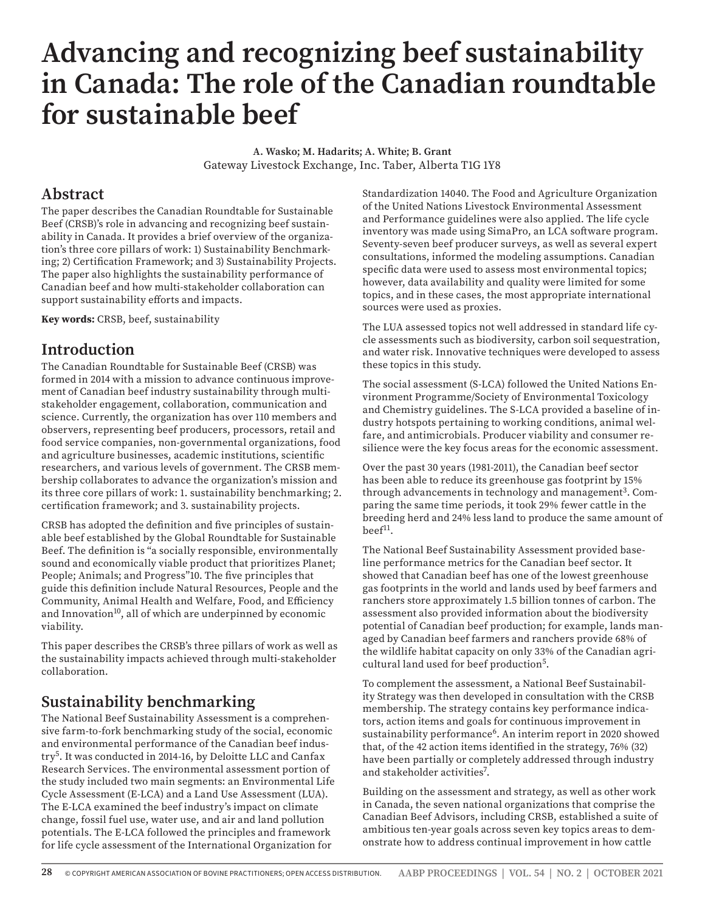# **Advancing and recognizing beef sustainability in Canada: The role of the Canadian roundtable for sustainable beef**

**A. Wasko; M. Hadarits; A. White; B. Grant**  Gateway Livestock Exchange, Inc. Taber, Alberta T1G 1Y8

#### **Abstract**

The paper describes the Canadian Roundtable for Sustainable Beef (CRSB)'s role in advancing and recognizing beef sustainability in Canada. It provides a brief overview of the organization's three core pillars of work: 1) Sustainability Benchmarking; 2) Certification Framework; and 3) Sustainability Projects. The paper also highlights the sustainability performance of Canadian beef and how multi-stakeholder collaboration can support sustainability efforts and impacts.

**Key words:** CRSB, beef, sustainability

#### **Introduction**

The Canadian Roundtable for Sustainable Beef (CRSB) was formed in 2014 with a mission to advance continuous improvement of Canadian beef industry sustainability through multistakeholder engagement, collaboration, communication and science. Currently, the organization has over 110 members and observers, representing beef producers, processors, retail and food service companies, non-governmental organizations, food and agriculture businesses, academic institutions, scientific researchers, and various levels of government. The CRSB membership collaborates to advance the organization's mission and its three core pillars of work: 1. sustainability benchmarking; 2. certification framework; and 3. sustainability projects.

CRSB has adopted the definition and five principles of sustainable beef established by the Global Roundtable for Sustainable Beef. The definition is "a socially responsible, environmentally sound and economically viable product that prioritizes Planet; People; Animals; and Progress"10. The five principles that guide this definition include Natural Resources, People and the Community, Animal Health and Welfare, Food, and Efficiency and Innovation<sup>10</sup>, all of which are underpinned by economic viability.

This paper describes the CRSB's three pillars of work as well as the sustainability impacts achieved through multi-stakeholder collaboration.

### **Sustainability benchmarking**

The National Beef Sustainability Assessment is a comprehensive farm-to-fork benchmarking study of the social, economic and environmental performance of the Canadian beef industry5. It was conducted in 2014-16, by Deloitte LLC and Canfax Research Services. The environmental assessment portion of the study included two main segments: an Environmental Life Cycle Assessment (E-LCA) and a Land Use Assessment (LUA). The E-LCA examined the beef industry's impact on climate change, fossil fuel use, water use, and air and land pollution potentials. The E-LCA followed the principles and framework for life cycle assessment of the International Organization for

Standardization 14040. The Food and Agriculture Organization of the United Nations Livestock Environmental Assessment and Performance guidelines were also applied. The life cycle inventory was made using SimaPro, an LCA software program. Seventy-seven beef producer surveys, as well as several expert consultations, informed the modeling assumptions. Canadian specific data were used to assess most environmental topics; however, data availability and quality were limited for some topics, and in these cases, the most appropriate international sources were used as proxies.

The LUA assessed topics not well addressed in standard life cycle assessments such as biodiversity, carbon soil sequestration, and water risk. Innovative techniques were developed to assess these topics in this study.

The social assessment (S-LCA) followed the United Nations Environment Programme/Society of Environmental Toxicology and Chemistry guidelines. The S-LCA provided a baseline of industry hotspots pertaining to working conditions, animal welfare, and antimicrobials. Producer viability and consumer resilience were the key focus areas for the economic assessment.

Over the past 30 years (1981-2011), the Canadian beef sector has been able to reduce its greenhouse gas footprint by 15% through advancements in technology and management<sup>3</sup>. Comparing the same time periods, it took 29% fewer cattle in the breeding herd and 24% less land to produce the same amount of  $beef<sup>11</sup>$ .

The National Beef Sustainability Assessment provided baseline performance metrics for the Canadian beef sector. It showed that Canadian beef has one of the lowest greenhouse gas footprints in the world and lands used by beef farmers and ranchers store approximately 1.5 billion tonnes of carbon. The assessment also provided information about the biodiversity potential of Canadian beef production; for example, lands managed by Canadian beef farmers and ranchers provide 68% of the wildlife habitat capacity on only 33% of the Canadian agricultural land used for beef production5.

To complement the assessment, a National Beef Sustainability Strategy was then developed in consultation with the CRSB membership. The strategy contains key performance indicators, action items and goals for continuous improvement in sustainability performance<sup>6</sup>. An interim report in 2020 showed that, of the 42 action items identified in the strategy, 76% (32) have been partially or completely addressed through industry and stakeholder activities<sup>7</sup>.

Building on the assessment and strategy, as well as other work in Canada, the seven national organizations that comprise the Canadian Beef Advisors, including CRSB, established a suite of ambitious ten-year goals across seven key topics areas to demonstrate how to address continual improvement in how cattle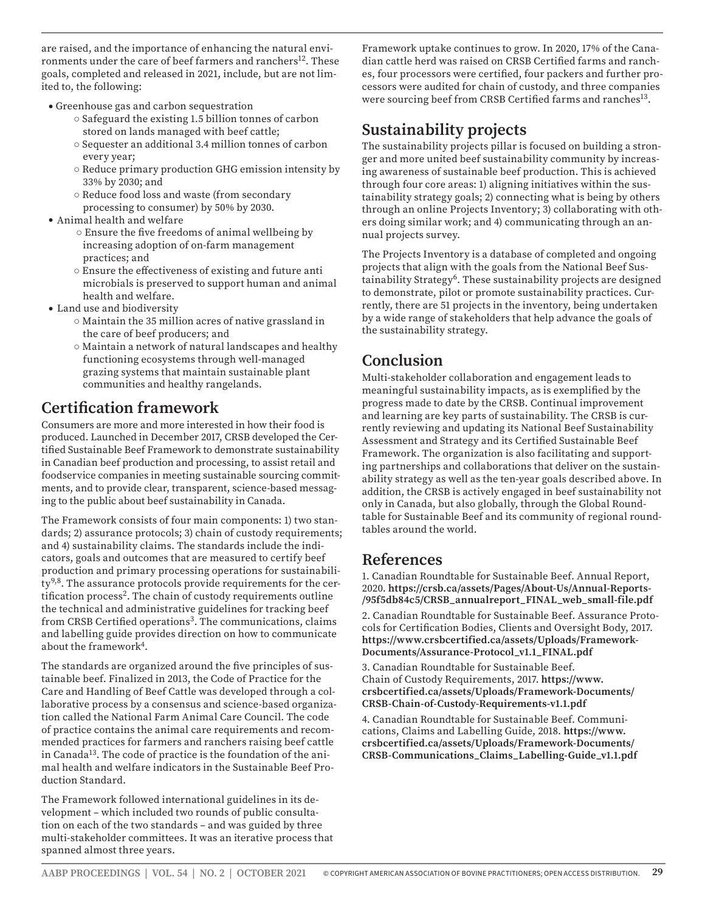are raised, and the importance of enhancing the natural environments under the care of beef farmers and ranchers<sup>12</sup>. These goals, completed and released in 2021, include, but are not limited to, the following:

- Greenhouse gas and carbon sequestration
	- Safeguard the existing 1.5 billion tonnes of carbon stored on lands managed with beef cattle;
	- Sequester an additional 3.4 million tonnes of carbon every year;
	- Reduce primary production GHG emission intensity by 33% by 2030; and
	- Reduce food loss and waste (from secondary processing to consumer) by 50% by 2030.
- Animal health and welfare
	- Ensure the five freedoms of animal wellbeing by increasing adoption of on-farm management practices; and
	- Ensure the effectiveness of existing and future anti microbials is preserved to support human and animal health and welfare.
- Land use and biodiversity
	- Maintain the 35 million acres of native grassland in the care of beef producers; and
	- Maintain a network of natural landscapes and healthy functioning ecosystems through well-managed grazing systems that maintain sustainable plant communities and healthy rangelands.

#### **Certification framework**

Consumers are more and more interested in how their food is produced. Launched in December 2017, CRSB developed the Certified Sustainable Beef Framework to demonstrate sustainability in Canadian beef production and processing, to assist retail and foodservice companies in meeting sustainable sourcing commitments, and to provide clear, transparent, science-based messaging to the public about beef sustainability in Canada.

The Framework consists of four main components: 1) two standards; 2) assurance protocols; 3) chain of custody requirements; and 4) sustainability claims. The standards include the indicators, goals and outcomes that are measured to certify beef production and primary processing operations for sustainabili $ty<sup>9,8</sup>$ . The assurance protocols provide requirements for the certification process<sup>2</sup>. The chain of custody requirements outline the technical and administrative guidelines for tracking beef from CRSB Certified operations<sup>3</sup>. The communications, claims and labelling guide provides direction on how to communicate about the framework<sup>4</sup>.

The standards are organized around the five principles of sustainable beef. Finalized in 2013, the Code of Practice for the Care and Handling of Beef Cattle was developed through a collaborative process by a consensus and science-based organization called the National Farm Animal Care Council. The code of practice contains the animal care requirements and recommended practices for farmers and ranchers raising beef cattle in Canada<sup>13</sup>. The code of practice is the foundation of the animal health and welfare indicators in the Sustainable Beef Production Standard.

The Framework followed international guidelines in its development – which included two rounds of public consultation on each of the two standards – and was guided by three multi-stakeholder committees. It was an iterative process that spanned almost three years.

Framework uptake continues to grow. In 2020, 17% of the Canadian cattle herd was raised on CRSB Certified farms and ranches, four processors were certified, four packers and further processors were audited for chain of custody, and three companies were sourcing beef from CRSB Certified farms and ranches<sup>13</sup>.

### **Sustainability projects**

The sustainability projects pillar is focused on building a stronger and more united beef sustainability community by increasing awareness of sustainable beef production. This is achieved through four core areas: 1) aligning initiatives within the sustainability strategy goals; 2) connecting what is being by others through an online Projects Inventory; 3) collaborating with others doing similar work; and 4) communicating through an annual projects survey.

The Projects Inventory is a database of completed and ongoing projects that align with the goals from the National Beef Sustainability Strategy<sup>6</sup>. These sustainability projects are designed to demonstrate, pilot or promote sustainability practices. Currently, there are 51 projects in the inventory, being undertaken by a wide range of stakeholders that help advance the goals of the sustainability strategy.

## **Conclusion**

Multi-stakeholder collaboration and engagement leads to meaningful sustainability impacts, as is exemplified by the progress made to date by the CRSB. Continual improvement and learning are key parts of sustainability. The CRSB is currently reviewing and updating its National Beef Sustainability Assessment and Strategy and its Certified Sustainable Beef Framework. The organization is also facilitating and supporting partnerships and collaborations that deliver on the sustainability strategy as well as the ten-year goals described above. In addition, the CRSB is actively engaged in beef sustainability not only in Canada, but also globally, through the Global Roundtable for Sustainable Beef and its community of regional roundtables around the world.

### **References**

1. Canadian Roundtable for Sustainable Beef. Annual Report, 2020. **https://crsb.ca/assets/Pages/About-Us/Annual-Reports- /95f5db84c5/CRSB\_annualreport\_FINAL\_web\_small-file.pdf**

2. Canadian Roundtable for Sustainable Beef. Assurance Protocols for Certification Bodies, Clients and Oversight Body, 2017. **https://www.crsbcertified.ca/assets/Uploads/Framework-Documents/Assurance-Protocol\_v1.1\_FINAL.pdf**

3. Canadian Roundtable for Sustainable Beef. Chain of Custody Requirements, 2017. **https://www. crsbcertified.ca/assets/Uploads/Framework-Documents/ CRSB-Chain-of-Custody-Requirements-v1.1.pdf**

4. Canadian Roundtable for Sustainable Beef. Communications, Claims and Labelling Guide, 2018. **https://www. crsbcertified.ca/assets/Uploads/Framework-Documents/ CRSB-Communications\_Claims\_Labelling-Guide\_v1.1.pdf**